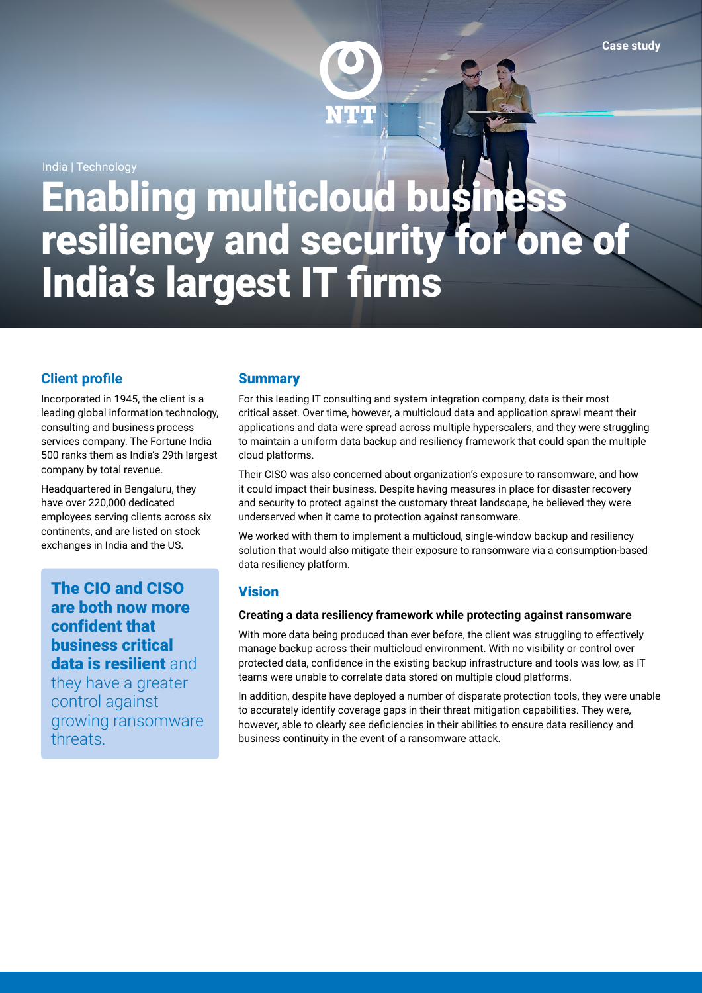

India | Technology

# Enabling multicloud business resiliency and security for one of India's largest IT firms

# **Client profile**

Incorporated in 1945, the client is a leading global information technology. consulting and business process services company. The Fortune India 500 ranks them as India's 29th largest company by total revenue.

Headquartered in Bengaluru, they have over 220,000 dedicated employees serving clients across six continents, and are listed on stock exchanges in India and the US.

The CIO and CISO are both now more confident that business critical data is resilient and they have a greater control against growing ransomware

threats.

# **Summary**

For this leading IT consulting and system integration company, data is their most critical asset. Over time, however, a multicloud data and application sprawl meant their applications and data were spread across multiple hyperscalers, and they were struggling to maintain a uniform data backup and resiliency framework that could span the multiple cloud platforms.

Their CISO was also concerned about organization's exposure to ransomware, and how it could impact their business. Despite having measures in place for disaster recovery and security to protect against the customary threat landscape, he believed they were underserved when it came to protection against ransomware.

We worked with them to implement a multicloud, single-window backup and resiliency solution that would also mitigate their exposure to ransomware via a consumption-based data resiliency platform.

# **Vision**

## **Creating a data resiliency framework while protecting against ransomware**

With more data being produced than ever before, the client was struggling to effectively manage backup across their multicloud environment. With no visibility or control over protected data, confidence in the existing backup infrastructure and tools was low, as IT teams were unable to correlate data stored on multiple cloud platforms.

In addition, despite have deployed a number of disparate protection tools, they were unable to accurately identify coverage gaps in their threat mitigation capabilities. They were, however, able to clearly see deficiencies in their abilities to ensure data resiliency and business continuity in the event of a ransomware attack.